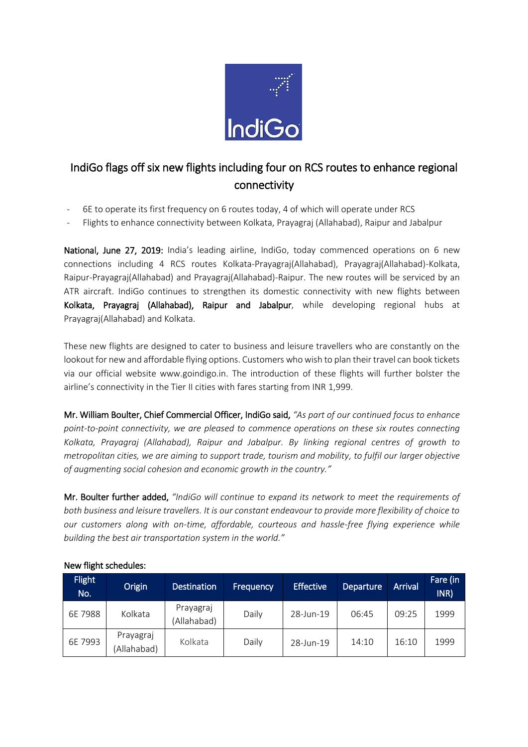

## IndiGo flags off six new flights including four on RCS routes to enhance regional connectivity

- 6E to operate its first frequency on 6 routes today, 4 of which will operate under RCS
- Flights to enhance connectivity between Kolkata, Prayagraj (Allahabad), Raipur and Jabalpur

National, June 27, 2019: India's leading airline, IndiGo, today commenced operations on 6 new connections including 4 RCS routes Kolkata-Prayagraj(Allahabad), Prayagraj(Allahabad)-Kolkata, Raipur-Prayagraj(Allahabad) and Prayagraj(Allahabad)-Raipur. The new routes will be serviced by an ATR aircraft. IndiGo continues to strengthen its domestic connectivity with new flights between Kolkata, Prayagraj (Allahabad), Raipur and Jabalpur, while developing regional hubs at Prayagraj(Allahabad) and Kolkata.

These new flights are designed to cater to business and leisure travellers who are constantly on the lookout for new and affordable flying options. Customers who wish to plan their travel can book tickets via our official website www.goindigo.in. The introduction of these flights will further bolster the airline's connectivity in the Tier II cities with fares starting from INR 1,999.

Mr. William Boulter, Chief Commercial Officer, IndiGo said, *"As part of our continued focus to enhance point-to-point connectivity, we are pleased to commence operations on these six routes connecting Kolkata, Prayagraj (Allahabad), Raipur and Jabalpur. By linking regional centres of growth to metropolitan cities, we are aiming to support trade, tourism and mobility, to fulfil our larger objective of augmenting social cohesion and economic growth in the country."*

Mr. Boulter further added, *"IndiGo will continue to expand its network to meet the requirements of both business and leisure travellers. It is our constant endeavour to provide more flexibility of choice to our customers along with on-time, affordable, courteous and hassle-free flying experience while building the best air transportation system in the world."*

| <b>Flight</b><br>No. | Origin                   | <b>Destination</b>       | <b>Frequency</b> | <b>Effective</b> | Departure | <b>Arrival</b> | Fare (in<br>INR) |
|----------------------|--------------------------|--------------------------|------------------|------------------|-----------|----------------|------------------|
| 6E 7988              | Kolkata                  | Prayagraj<br>(Allahabad) | Daily            | 28-Jun-19        | 06:45     | 09:25          | 1999             |
| 6E 7993              | Prayagraj<br>(Allahabad) | Kolkata                  | Daily            | 28-Jun-19        | 14:10     | 16:10          | 1999             |

## New flight schedules: